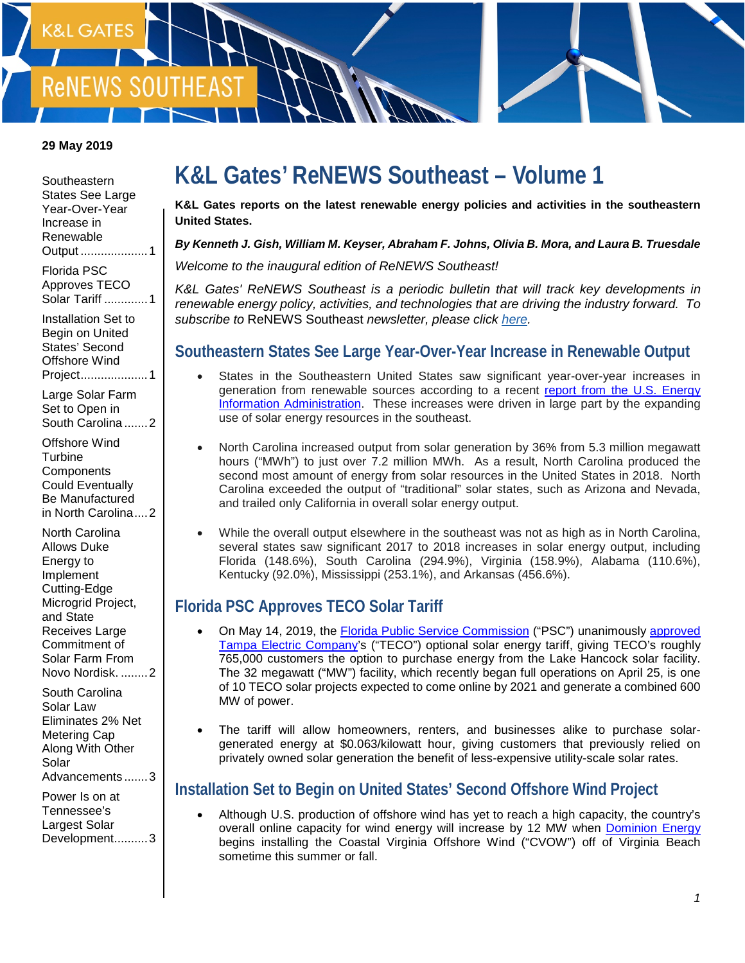

#### **29 May 2019**

**Southeastern** [States See Large](#page-0-0)  [Year-Over-Year](#page-0-0)  [Increase in](#page-0-0)  [Renewable](#page-0-0)  Output [....................1](#page-0-0) [Florida PSC](#page-0-1) 

[Approves TECO](#page-0-1)  [Solar Tariff](#page-0-1) .............1

[Installation Set to](#page-0-2)  [Begin on United](#page-0-2)  [States' Second](#page-0-2)  [Offshore Wind](#page-0-2)  [Project....................1](#page-0-2)

[Large Solar Farm](#page-1-0)  [Set to Open in](#page-1-0)  [South Carolina](#page-1-0) .......2

[Offshore Wind](#page-1-1)  **Turbine Components** [Could Eventually](#page-1-1)  [Be Manufactured](#page-1-1)  [in North Carolina....2](#page-1-1)

[North Carolina](#page-1-2)  [Allows Duke](#page-1-2)  [Energy to](#page-1-2)  [Implement](#page-1-2)  [Cutting-Edge](#page-1-2)  [Microgrid Project,](#page-1-2)  [and State](#page-1-2)  Receives Large [Commitment of](#page-1-2)  [Solar Farm From](#page-1-2)  [Novo Nordisk.](#page-1-2) ........2

[South Carolina](#page-2-0)  [Solar Law](#page-2-0)  [Eliminates 2% Net](#page-2-0)  [Metering Cap](#page-2-0)  [Along With Other](#page-2-0)  [Solar](#page-2-0)  [Advancements](#page-2-0) .......3

[Power Is on at](#page-2-1)  [Tennessee's](#page-2-1)  [Largest Solar](#page-2-1)  [Development..........3](#page-2-1)

# **K&L Gates' ReNEWS Southeast – Volume 1**

**K&L Gates reports on the latest renewable energy policies and activities in the southeastern United States.**

#### *By Kenneth J. Gish, William M. Keyser, Abraham F. Johns, Olivia B. Mora, and Laura B. Truesdale*

*Welcome to the inaugural edition of ReNEWS Southeast!* 

*K&L Gates' ReNEWS Southeast is a periodic bulletin that will track key developments in renewable energy policy, activities, and technologies that are driving the industry forward. To subscribe to* ReNEWS Southeast *newsletter, please click [here.](mailto:elizabeth.jeffries@klgates.com?subject=Subscribe:%20ReNEWS%20Southeast)*

#### <span id="page-0-0"></span>**Southeastern States See Large Year-Over-Year Increase in Renewable Output**

- States in the Southeastern United States saw significant year-over-year increases in generation from renewable sources according to a recent [report from the U.S. Energy](https://www.eia.gov/electricity/monthly/archive/february2019.pdf)  [Information Administration.](https://www.eia.gov/electricity/monthly/archive/february2019.pdf) These increases were driven in large part by the expanding use of solar energy resources in the southeast.
- North Carolina increased output from solar generation by 36% from 5.3 million megawatt hours ("MWh") to just over 7.2 million MWh. As a result, North Carolina produced the second most amount of energy from solar resources in the United States in 2018. North Carolina exceeded the output of "traditional" solar states, such as Arizona and Nevada, and trailed only California in overall solar energy output.
- While the overall output elsewhere in the southeast was not as high as in North Carolina, several states saw significant 2017 to 2018 increases in solar energy output, including Florida (148.6%), South Carolina (294.9%), Virginia (158.9%), Alabama (110.6%), Kentucky (92.0%), Mississippi (253.1%), and Arkansas (456.6%).

#### <span id="page-0-1"></span>**Florida PSC Approves TECO Solar Tariff**

- On May 14, 2019, the **Florida Public Service Commission** ("PSC") unanimously [approved](http://www.psc.state.fl.us/Home/NewsLink?id=11737) [Tampa Electric Company'](https://www.tampaelectric.com/)s ("TECO") optional solar energy tariff, giving TECO's roughly 765,000 customers the option to purchase energy from the Lake Hancock solar facility. The 32 megawatt ("MW") facility, which recently began full operations on April 25, is one of 10 TECO solar projects expected to come online by 2021 and generate a combined 600 MW of power.
- The tariff will allow homeowners, renters, and businesses alike to purchase solargenerated energy at \$0.063/kilowatt hour, giving customers that previously relied on privately owned solar generation the benefit of less-expensive utility-scale solar rates.

#### <span id="page-0-2"></span>**Installation Set to Begin on United States' Second Offshore Wind Project**

• Although U.S. production of offshore wind has yet to reach a high capacity, the country's overall online capacity for wind energy will increase by 12 MW when [Dominion Energy](https://www.dominionenergy.com/) begins installing the Coastal Virginia Offshore Wind ("CVOW") off of Virginia Beach sometime this summer or fall.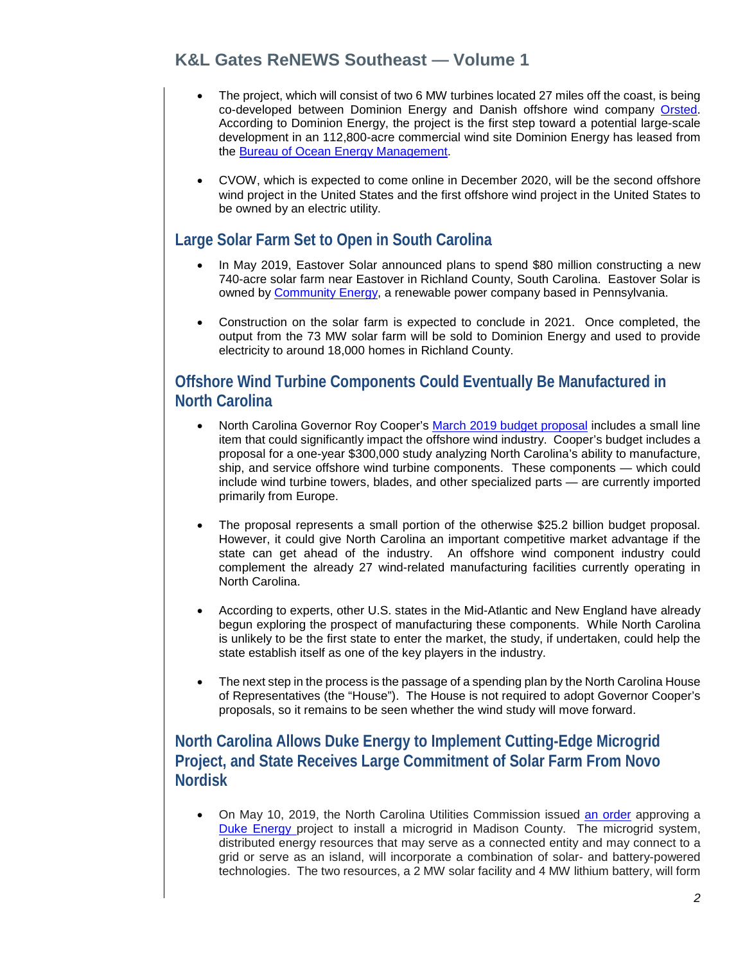## **K&L Gates ReNEWS Southeast — Volume 1**

- The project, which will consist of two 6 MW turbines located 27 miles off the coast, is being co-developed between Dominion Energy and Danish offshore wind company [Orsted.](https://orsted.com/en) According to Dominion Energy, the project is the first step toward a potential large-scale development in an 112,800-acre commercial wind site Dominion Energy has leased from the [Bureau of Ocean Energy Management.](https://www.boem.gov/)
- CVOW, which is expected to come online in December 2020, will be the second offshore wind project in the United States and the first offshore wind project in the United States to be owned by an electric utility.

#### <span id="page-1-0"></span>**Large Solar Farm Set to Open in South Carolina**

- In May 2019, Eastover Solar announced plans to spend \$80 million constructing a new 740-acre solar farm near Eastover in Richland County, South Carolina. Eastover Solar is owned by [Community](https://www.communityenergyinc.com/) Energy, a renewable power company based in Pennsylvania.
- Construction on the solar farm is expected to conclude in 2021. Once completed, the output from the 73 MW solar farm will be sold to Dominion Energy and used to provide electricity to around 18,000 homes in Richland County.

#### <span id="page-1-1"></span>**Offshore Wind Turbine Components Could Eventually Be Manufactured in North Carolina**

- North Carolina Governor Roy Cooper's [March 2019 budget proposal](https://files.nc.gov/ncosbm/documents/files/BudgetBook_web_2019.pdf) includes a small line item that could significantly impact the offshore wind industry. Cooper's budget includes a proposal for a one-year \$300,000 study analyzing North Carolina's ability to manufacture, ship, and service offshore wind turbine components. These components — which could include wind turbine towers, blades, and other specialized parts — are currently imported primarily from Europe.
- The proposal represents a small portion of the otherwise \$25.2 billion budget proposal. However, it could give North Carolina an important competitive market advantage if the state can get ahead of the industry. An offshore wind component industry could complement the already 27 wind-related manufacturing facilities currently operating in North Carolina.
- According to experts, other U.S. states in the Mid-Atlantic and New England have already begun exploring the prospect of manufacturing these components. While North Carolina is unlikely to be the first state to enter the market, the study, if undertaken, could help the state establish itself as one of the key players in the industry.
- The next step in the process is the passage of a spending plan by the North Carolina House of Representatives (the "House"). The House is not required to adopt Governor Cooper's proposals, so it remains to be seen whether the wind study will move forward.

#### <span id="page-1-2"></span>**North Carolina Allows Duke Energy to Implement Cutting-Edge Microgrid Project, and State Receives Large Commitment of Solar Farm From Novo Nordisk**

• On May 10, 2019, the North Carolina Utilities Commission issued [an order](https://starw1.ncuc.net/NCUC/ViewFile.aspx?Id=751a240b-9a68-4970-89cc-b9c85f289607) approving a [Duke Energy p](https://www.duke-energy.com/home)roject to install a microgrid in Madison County. The microgrid system, distributed energy resources that may serve as a connected entity and may connect to a grid or serve as an island, will incorporate a combination of solar- and battery-powered technologies. The two resources, a 2 MW solar facility and 4 MW lithium battery, will form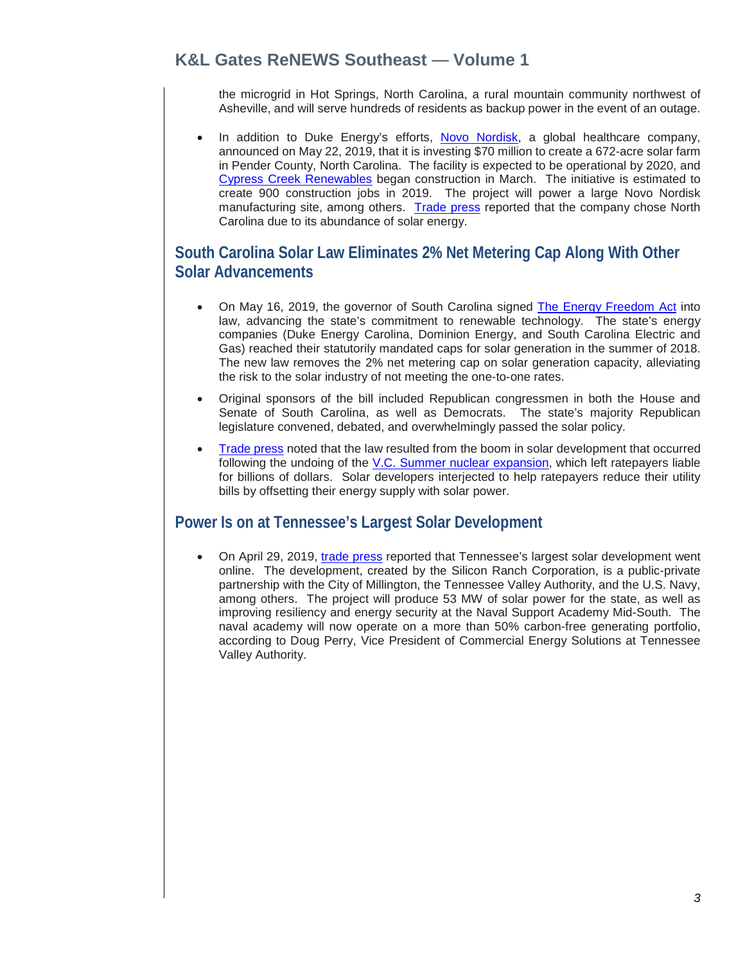## **K&L Gates ReNEWS Southeast — Volume 1**

the microgrid in Hot Springs, North Carolina, a rural mountain community northwest of Asheville, and will serve hundreds of residents as backup power in the event of an outage.

In addition to Duke Energy's efforts, [Novo Nordisk,](https://www.novonordisk-us.com/) a global healthcare company, announced on May 22, 2019, that it is investing \$70 million to create a 672-acre solar farm in Pender County, North Carolina. The facility is expected to be operational by 2020, and [Cypress Creek Renewables](https://ccrenew.com/) began construction in March. The initiative is estimated to create 900 construction jobs in 2019. The project will power a large Novo Nordisk manufacturing site, among others. [Trade press](https://www.wraltechwire.com/2019/05/22/heres-why-novo-nordisk-is-committing-to-renewable-energy-with-solar-farm-in-nc/) reported that the company chose North Carolina due to its abundance of solar energy.

#### <span id="page-2-0"></span>**South Carolina Solar Law Eliminates 2% Net Metering Cap Along With Other Solar Advancements**

- On May 16, 2019, the governor of South Carolina signed [The Energy Freedom Act](https://www.scstatehouse.gov/sess123_2019-2020/bills/3659.htm) into law, advancing the state's commitment to renewable technology. The state's energy companies (Duke Energy Carolina, Dominion Energy, and South Carolina Electric and Gas) reached their statutorily mandated caps for solar generation in the summer of 2018. The new law removes the 2% net metering cap on solar generation capacity, alleviating the risk to the solar industry of not meeting the one-to-one rates.
- Original sponsors of the bill included Republican congressmen in both the House and Senate of South Carolina, as well as Democrats. The state's majority Republican legislature convened, debated, and overwhelmingly passed the solar policy.
- [Trade press](https://www.utilitydive.com/news/south-carolina-unanimously-passes-solar-bill-to-lift-2-net-metering-cap/554490/) noted that the law resulted from the boom in solar development that occurred following the undoing of the [V.C. Summer nuclear expansion,](https://abcnews4.com/news/lowcountry-and-state-politics/south-carolina-utility-reaches-2b-settlement-over-failed-nuclear-plants) which left ratepayers liable for billions of dollars. Solar developers interjected to help ratepayers reduce their utility bills by offsetting their energy supply with solar power.

#### <span id="page-2-1"></span>**Power Is on at Tennessee's Largest Solar Development**

• On April 29, 2019, [trade press](https://www.renewableenergyworld.com/articles/2019/04/tennessees-largest-solar-facility-is-now-online.html) reported that Tennessee's largest solar development went online. The development, created by the Silicon Ranch Corporation, is a public-private partnership with the City of Millington, the Tennessee Valley Authority, and the U.S. Navy, among others. The project will produce 53 MW of solar power for the state, as well as improving resiliency and energy security at the Naval Support Academy Mid-South. The naval academy will now operate on a more than 50% carbon-free generating portfolio, according to Doug Perry, Vice President of Commercial Energy Solutions at Tennessee Valley Authority.